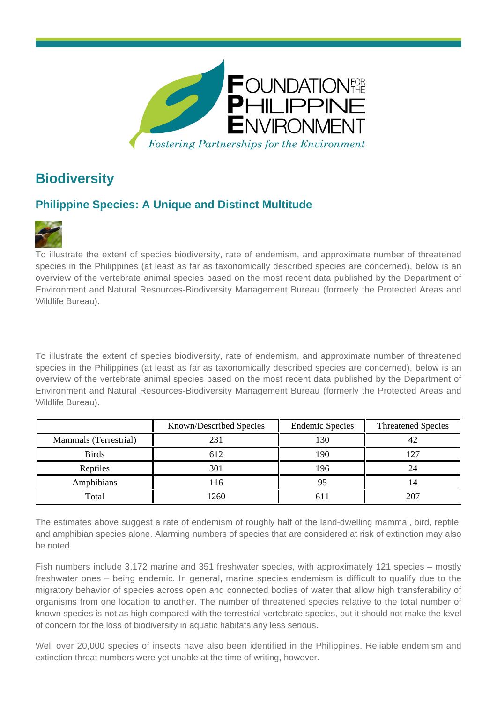

## **Biodiversity**

## **Philippine Species: A Unique and Distinct Multitude**



To illustrate the extent of species biodiversity, rate of endemism, and approximate number of threatened species in the Philippines (at least as far as taxonomically described species are concerned), below is an overview of the vertebrate animal species based on the most recent data published by the Department of Environment and Natural Resources-Biodiversity Management Bureau (formerly the Protected Areas and Wildlife Bureau).

To illustrate the extent of species biodiversity, rate of endemism, and approximate number of threatened species in the Philippines (at least as far as taxonomically described species are concerned), below is an overview of the vertebrate animal species based on the most recent data published by the Department of Environment and Natural Resources-Biodiversity Management Bureau (formerly the Protected Areas and Wildlife Bureau).

|                       | Known/Described Species | <b>Endemic Species</b> | <b>Threatened Species</b> |
|-----------------------|-------------------------|------------------------|---------------------------|
| Mammals (Terrestrial) | 231                     | 130                    |                           |
| <b>Birds</b>          | 612                     | 190                    | - م،                      |
| Reptiles              | 301                     | 196                    |                           |
| Amphibians            | 116                     |                        |                           |
| Total                 | 1260                    |                        | 207                       |

The estimates above suggest a rate of endemism of roughly half of the land-dwelling mammal, bird, reptile, and amphibian species alone. Alarming numbers of species that are considered at risk of extinction may also be noted.

Fish numbers include 3,172 marine and 351 freshwater species, with approximately 121 species – mostly freshwater ones – being endemic. In general, marine species endemism is difficult to qualify due to the migratory behavior of species across open and connected bodies of water that allow high transferability of organisms from one location to another. The number of threatened species relative to the total number of known species is not as high compared with the terrestrial vertebrate species, but it should not make the level of concern for the loss of biodiversity in aquatic habitats any less serious.

Well over 20,000 species of insects have also been identified in the Philippines. Reliable endemism and extinction threat numbers were yet unable at the time of writing, however.